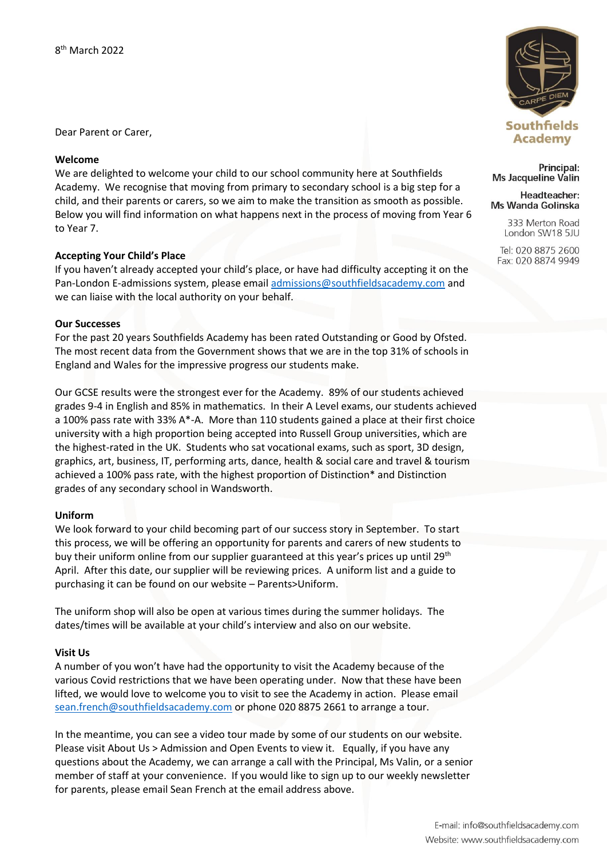Dear Parent or Carer,

# **Welcome**

We are delighted to welcome your child to our school community here at Southfields Academy. We recognise that moving from primary to secondary school is a big step for a child, and their parents or carers, so we aim to make the transition as smooth as possible. Below you will find information on what happens next in the process of moving from Year 6 to Year 7.

# **Accepting Your Child's Place**

If you haven't already accepted your child's place, or have had difficulty accepting it on the Pan-London E-admissions system, please emai[l admissions@southfieldsacademy.com](mailto:admissions@southfieldsacademy.com) and we can liaise with the local authority on your behalf.

## **Our Successes**

For the past 20 years Southfields Academy has been rated Outstanding or Good by Ofsted. The most recent data from the Government shows that we are in the top 31% of schools in England and Wales for the impressive progress our students make.

Our GCSE results were the strongest ever for the Academy. 89% of our students achieved grades 9-4 in English and 85% in mathematics. In their A Level exams, our students achieved a 100% pass rate with 33% A\*-A. More than 110 students gained a place at their first choice university with a high proportion being accepted into Russell Group universities, which are the highest-rated in the UK. Students who sat vocational exams, such as sport, 3D design, graphics, art, business, IT, performing arts, dance, health & social care and travel & tourism achieved a 100% pass rate, with the highest proportion of Distinction\* and Distinction grades of any secondary school in Wandsworth.

# **Uniform**

We look forward to your child becoming part of our success story in September. To start this process, we will be offering an opportunity for parents and carers of new students to buy their uniform online from our supplier guaranteed at this year's prices up until 29<sup>th</sup> April. After this date, our supplier will be reviewing prices. A uniform list and a guide to purchasing it can be found on our website – Parents>Uniform.

The uniform shop will also be open at various times during the summer holidays. The dates/times will be available at your child's interview and also on our website.

# **Visit Us**

A number of you won't have had the opportunity to visit the Academy because of the various Covid restrictions that we have been operating under. Now that these have been lifted, we would love to welcome you to visit to see the Academy in action. Please email [sean.french@southfieldsacademy.com](mailto:sean.french@southfieldsacademy.com) or phone 020 8875 2661 to arrange a tour.

In the meantime, you can see a video tour made by some of our students on our website. Please visit About Us > Admission and Open Events to view it. Equally, if you have any questions about the Academy, we can arrange a call with the Principal, Ms Valin, or a senior member of staff at your convenience. If you would like to sign up to our weekly newsletter for parents, please email Sean French at the email address above.



Principal: **Ms Jacqueline Valin** 

#### Headteacher: Ms Wanda Golinska

333 Merton Road London SW18 5JU

Tel: 020 8875 2600 Fax: 020 8874 9949